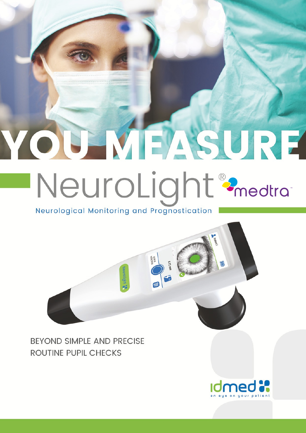## YOU MEASURE NeuroLight<sup>®</sup> 2<sub>medtra</sub>

Neurological Monitoring and Prognostication

**BEYOND SIMPLE AND PRECISE ROUTINE PUPIL CHECKS**